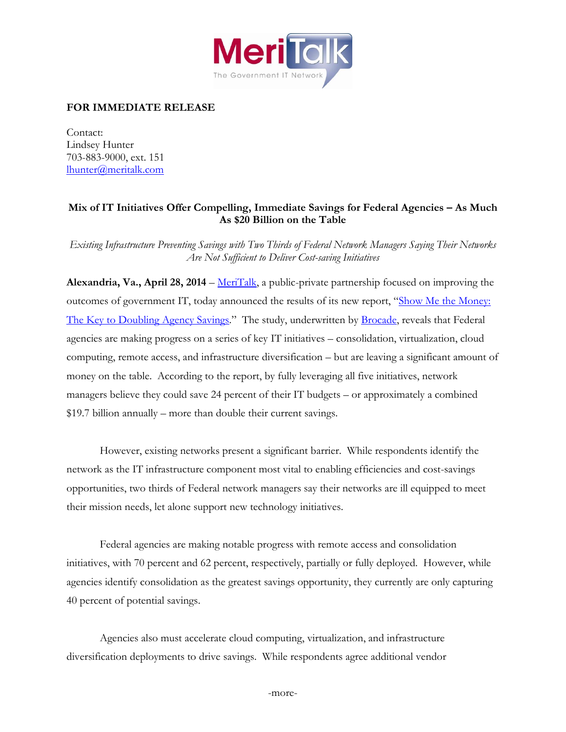

## **FOR IMMEDIATE RELEASE**

Contact: Lindsey Hunter 703-883-9000, ext. 151 [lhunter@meritalk.com](mailto:lhunter@meritalk.com)

## **Mix of IT Initiatives Offer Compelling, Immediate Savings for Federal Agencies – As Much As \$20 Billion on the Table**

*Existing Infrastructure Preventing Savings with Two Thirds of Federal Network Managers Saying Their Networks Are Not Sufficient to Deliver Cost-saving Initiatives*

**Alexandria, Va., April 28, 2014** – [MeriTalk,](http://www.meritalk.com/) a public-private partnership focused on improving the outcomes of government IT, today announced the results of its new report, "[Show Me the Money:](http://www.meritalk.com/fedsaver)  [The](http://www.meritalk.com/fedsaver) Key to Doubling Agency Savings." The study, underwritten by **Brocade**, reveals that Federal agencies are making progress on a series of key IT initiatives – consolidation, virtualization, cloud computing, remote access, and infrastructure diversification – but are leaving a significant amount of money on the table. According to the report, by fully leveraging all five initiatives, network managers believe they could save 24 percent of their IT budgets – or approximately a combined \$19.7 billion annually – more than double their current savings.

However, existing networks present a significant barrier. While respondents identify the network as the IT infrastructure component most vital to enabling efficiencies and cost-savings opportunities, two thirds of Federal network managers say their networks are ill equipped to meet their mission needs, let alone support new technology initiatives.

Federal agencies are making notable progress with remote access and consolidation initiatives, with 70 percent and 62 percent, respectively, partially or fully deployed. However, while agencies identify consolidation as the greatest savings opportunity, they currently are only capturing 40 percent of potential savings.

Agencies also must accelerate cloud computing, virtualization, and infrastructure diversification deployments to drive savings. While respondents agree additional vendor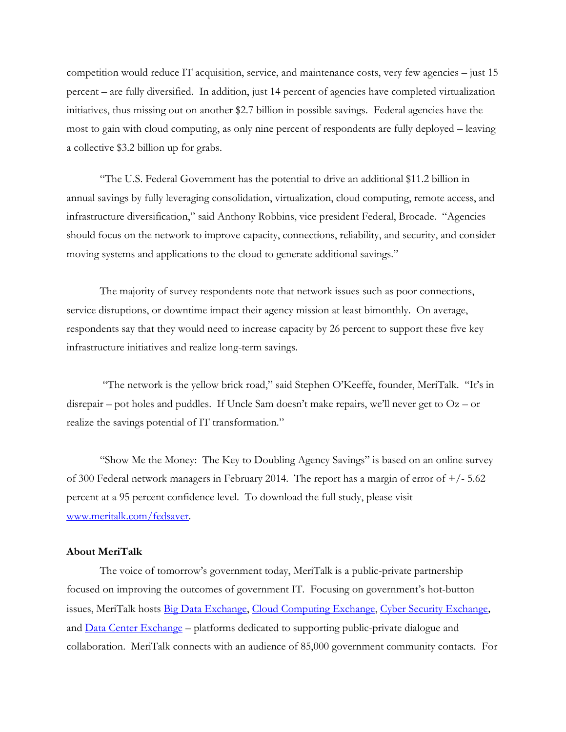competition would reduce IT acquisition, service, and maintenance costs, very few agencies – just 15 percent – are fully diversified. In addition, just 14 percent of agencies have completed virtualization initiatives, thus missing out on another \$2.7 billion in possible savings. Federal agencies have the most to gain with cloud computing, as only nine percent of respondents are fully deployed – leaving a collective \$3.2 billion up for grabs.

"The U.S. Federal Government has the potential to drive an additional \$11.2 billion in annual savings by fully leveraging consolidation, virtualization, cloud computing, remote access, and infrastructure diversification," said Anthony Robbins, vice president Federal, Brocade. "Agencies should focus on the network to improve capacity, connections, reliability, and security, and consider moving systems and applications to the cloud to generate additional savings."

The majority of survey respondents note that network issues such as poor connections, service disruptions, or downtime impact their agency mission at least bimonthly. On average, respondents say that they would need to increase capacity by 26 percent to support these five key infrastructure initiatives and realize long-term savings.

"The network is the yellow brick road," said Stephen O'Keeffe, founder, MeriTalk. "It's in disrepair – pot holes and puddles. If Uncle Sam doesn't make repairs, we'll never get to  $Oz$  – or realize the savings potential of IT transformation."

"Show Me the Money: The Key to Doubling Agency Savings" is based on an online survey of 300 Federal network managers in February 2014. The report has a margin of error of  $+/- 5.62$ percent at a 95 percent confidence level. To download the full study, please visit [www.meritalk.com/fedsaver.](http://www.meritalk.com/fedsaver)

## **About MeriTalk**

The voice of tomorrow's government today, MeriTalk is a public-private partnership focused on improving the outcomes of government IT. Focusing on government's hot-button issues, MeriTalk hosts [Big Data Exchange,](https://meritalk.com/bdx) [Cloud Computing Exchange,](https://meritalk.com/ccx) [Cyber Security Exchange](https://meritalk.com/csx), and [Data Center Exchange](https://meritalk.com/dcx) – platforms dedicated to supporting public-private dialogue and collaboration. MeriTalk connects with an audience of 85,000 government community contacts. For